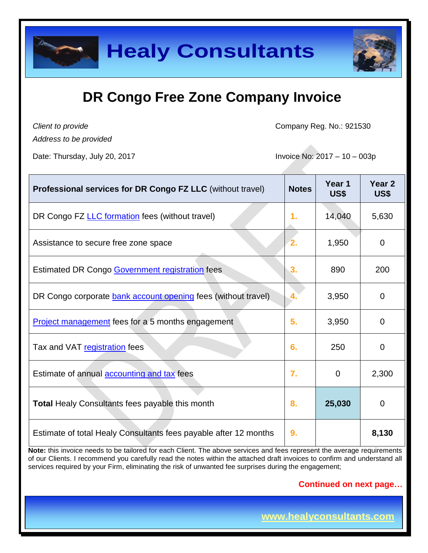

*Client to provide*

Company Reg. No.: 921530

*Address to be provided*

Date: Thursday, July 20, 2017 **Invoice No: 2017** - 10 – 003p

| <b>Professional services for DR Congo FZ LLC (without travel)</b> | <b>Notes</b> | Year 1<br>US\$ | Year <sub>2</sub><br>US\$ |
|-------------------------------------------------------------------|--------------|----------------|---------------------------|
| DR Congo FZ LLC formation fees (without travel)                   | 1.           | 14,040         | 5,630                     |
| Assistance to secure free zone space                              | 2.           | 1,950          | $\mathbf 0$               |
| <b>Estimated DR Congo Government registration fees</b>            | 3.           | 890            | 200                       |
| DR Congo corporate bank account opening fees (without travel)     | 4.           | 3,950          | 0                         |
| Project management fees for a 5 months engagement                 | 5.           | 3,950          | 0                         |
| Tax and VAT registration fees                                     | 6.           | 250            | 0                         |
| Estimate of annual <b>accounting and tax</b> fees                 | 7.           | $\Omega$       | 2,300                     |
| <b>Total Healy Consultants fees payable this month</b>            | 8.           | 25,030         | $\overline{0}$            |
| Estimate of total Healy Consultants fees payable after 12 months  | 9.           |                | 8,130                     |

**Note:** this invoice needs to be tailored for each Client. The above services and fees represent the average requirements of our Clients. I recommend you carefully read the notes within the attached draft invoices to confirm and understand all services required by your Firm, eliminating the risk of unwanted fee surprises during the engagement;

### **Continued on next page…**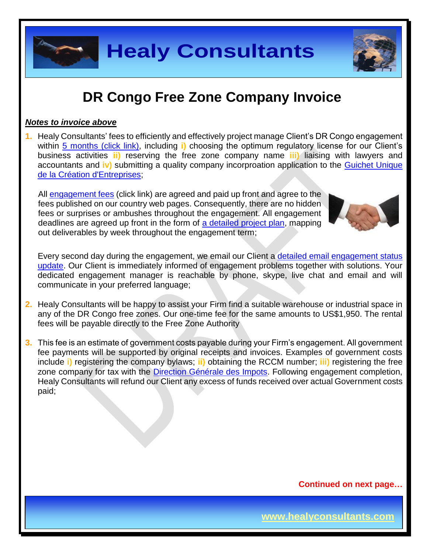

#### *Notes to invoice above*

**1.** Healy Consultants' fees to efficiently and effectively project manage Client's DR Congo engagement within 5 [months \(click link\),](http://www.healyconsultants.com/democratic-republic-of-congo-company-registration/fees-timelines/#timelines) including **i)** choosing the optimum regulatory license for our Client's business activities **ii)** reserving the free zone company name **iii)** liaising with lawyers and accountants and **iv)** submitting a quality company incorproation application to the [Guichet Unique](http://fr.guichetunique.cd/)  [de la Création d'Entreprises;](http://fr.guichetunique.cd/)

All [engagement fees](http://www.healyconsultants.com/company-registration-fees/) (click link) are agreed and paid up front and agree to the fees published on our country web pages. Consequently, there are no hidden fees or surprises or ambushes throughout the engagement. All engagement deadlines are agreed up front in the form of [a detailed project plan,](http://www.healyconsultants.com/index-important-links/example-project-plan/) mapping out deliverables by week throughout the engagement term;



Every second day during the engagement, we email our Client a [detailed email engagement status](http://www.healyconsultants.com/index-important-links/weekly-engagement-status-email/)  [update.](http://www.healyconsultants.com/index-important-links/weekly-engagement-status-email/) Our Client is immediately informed of engagement problems together with solutions. Your dedicated engagement manager is reachable by phone, skype, live chat and email and will communicate in your preferred language;

- **2.** Healy Consultants will be happy to assist your Firm find a suitable warehouse or industrial space in any of the DR Congo free zones. Our one-time fee for the same amounts to US\$1,950. The rental fees will be payable directly to the Free Zone Authority
- **3.** This fee is an estimate of government costs payable during your Firm's engagement. All government fee payments will be supported by original receipts and invoices. Examples of government costs include **i)** registering the company bylaws; **ii)** obtaining the RCCM number; **iii)** registering the free zone company for tax with the [Direction Générale des Impots.](http://www.dgi.gouv.cd/) Following engagement completion, Healy Consultants will refund our Client any excess of funds received over actual Government costs paid;

**Continued on next page…**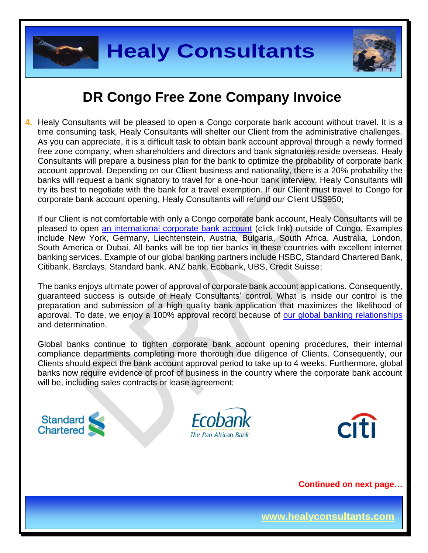



**4.** Healy Consultants will be pleased to open a Congo corporate bank account without travel. It is a time consuming task, Healy Consultants will shelter our Client from the administrative challenges. As you can appreciate, it is a difficult task to obtain bank account approval through a newly formed free zone company, when shareholders and directors and bank signatories reside overseas. Healy Consultants will prepare a business plan for the bank to optimize the probability of corporate bank account approval. Depending on our Client business and nationality, there is a 20% probability the banks will request a bank signatory to travel for a one-hour bank interview. Healy Consultants will try its best to negotiate with the bank for a travel exemption. If our Client must travel to Congo for corporate bank account opening, Healy Consultants will refund our Client US\$950;

If our Client is not comfortable with only a Congo corporate bank account, Healy Consultants will be pleased to open [an international corporate bank account](http://www.healyconsultants.com/international-banking/) (click link) outside of Congo. Examples include New York, Germany, Liechtenstein, Austria, Bulgaria, South Africa, Australia, London, South America or Dubai. All banks will be top tier banks in these countries with excellent internet banking services. Example of our global banking partners include HSBC, Standard Chartered Bank, Citibank, Barclays, Standard bank, ANZ bank, Ecobank, UBS, Credit Suisse;

The banks enjoys ultimate power of approval of corporate bank account applications. Consequently, guaranteed success is outside of Healy Consultants' control. What is inside our control is the preparation and submission of a high quality bank application that maximizes the likelihood of approval. To date, we enjoy a 100% approval record because of [our global banking relationships](http://www.healyconsultants.com/international-banking/corporate-accounts/) and determination.

Global banks continue to tighten corporate bank account opening procedures, their internal compliance departments completing more thorough due diligence of Clients. Consequently, our Clients should expect the bank account approval period to take up to 4 weeks. Furthermore, global banks now require evidence of proof of business in the country where the corporate bank account will be, including sales contracts or lease agreement;







**Continued on next page…**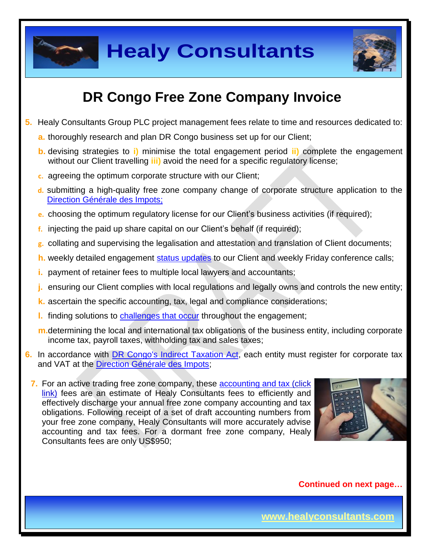



# **DR Congo Free Zone Company Invoice**

- **5.** Healy Consultants Group PLC project management fees relate to time and resources dedicated to:
	- **a.** thoroughly research and plan DR Congo business set up for our Client;
	- **b.** devising strategies to **i)** minimise the total engagement period **ii)** complete the engagement without our Client travelling **iii)** avoid the need for a specific regulatory license;
	- **c.** agreeing the optimum corporate structure with our Client;
	- **d.** submitting a high-quality free zone company change of corporate structure application to the [Direction Générale des Impots;](http://www.dgi.gouv.cd/)
	- **e.** choosing the optimum regulatory license for our Client's business activities (if required);
	- **f.** injecting the paid up share capital on our Client's behalf (if required);
	- **g.** collating and supervising the legalisation and attestation and translation of Client documents;
	- **h.** weekly detailed engagement [status updates](http://www.healyconsultants.com/index-important-links/weekly-engagement-status-email/) to our Client and weekly Friday conference calls;
	- **i.** payment of retainer fees to multiple local lawyers and accountants;
	- **j.** ensuring our Client complies with local regulations and legally owns and controls the new entity;
	- **k.** ascertain the specific accounting, tax, legal and compliance considerations;
	- **l.** finding solutions to [challenges that occur](http://www.healyconsultants.com/engagement-project-management/) throughout the engagement;
	- **m.**determining the local and international tax obligations of the business entity, including corporate income tax, payroll taxes, withholding tax and sales taxes;
- **6.** In accordance with [DR Congo's Indirect Taxation Act,](http://www.loc.gov/law/foreign-news/article/congo-the-democratic-republic-of-the-new-tax-measures-adopted/) each entity must register for corporate tax and VAT at the [Direction Générale des Impots;](http://impots-gouv.cg/communications/index)

**7.** For an active trading free zone company, these **accounting and tax (click**) link) fees are an estimate of Healy Consultants fees to efficiently and effectively discharge your annual free zone company accounting and tax obligations. Following receipt of a set of draft accounting numbers from your free zone company, Healy Consultants will more accurately advise accounting and tax fees. For a dormant free zone company, Healy Consultants fees are only US\$950;



**Continued on next page…**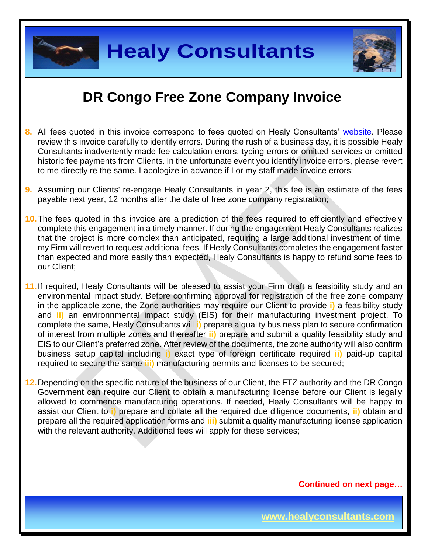



- **8.** All fees quoted in this invoice correspond to fees quoted on Healy Consultants' [website.](http://www.healyconsultants.com/company-registration-fees/) Please review this invoice carefully to identify errors. During the rush of a business day, it is possible Healy Consultants inadvertently made fee calculation errors, typing errors or omitted services or omitted historic fee payments from Clients. In the unfortunate event you identify invoice errors, please revert to me directly re the same. I apologize in advance if I or my staff made invoice errors;
- **9.** Assuming our Clients' re-engage Healy Consultants in year 2, this fee is an estimate of the fees payable next year, 12 months after the date of free zone company registration;
- **10.**The fees quoted in this invoice are a prediction of the fees required to efficiently and effectively complete this engagement in a timely manner. If during the engagement Healy Consultants realizes that the project is more complex than anticipated, requiring a large additional investment of time, my Firm will revert to request additional fees. If Healy Consultants completes the engagement faster than expected and more easily than expected, Healy Consultants is happy to refund some fees to our Client;
- **11.**If required, Healy Consultants will be pleased to assist your Firm draft a feasibility study and an environmental impact study. Before confirming approval for registration of the free zone company in the applicable zone, the Zone authorities may require our Client to provide **i)** a feasibility study and **ii)** an environnmental impact study (EIS) for their manufacturing investment project. To complete the same, Healy Consultants will **i)** prepare a quality business plan to secure confirmation of interest from multiple zones and thereafter **ii)** prepare and submit a quality feasibility study and EIS to our Client's preferred zone. After review of the documents, the zone authority will also confirm business setup capital including **i)** exact type of foreign certificate required **ii)** paid-up capital required to secure the same **iii)** manufacturing permits and licenses to be secured;
- **12.**Depending on the specific nature of the business of our Client, the FTZ authority and the DR Congo Government can require our Client to obtain a manufacturing license before our Client is legally allowed to commence manufacturing operations. If needed, Healy Consultants will be happy to assist our Client to **i)** prepare and collate all the required due diligence documents, **ii)** obtain and prepare all the required application forms and **iii)** submit a quality manufacturing license application with the relevant authority. Additional fees will apply for these services;

**Continued on next page…**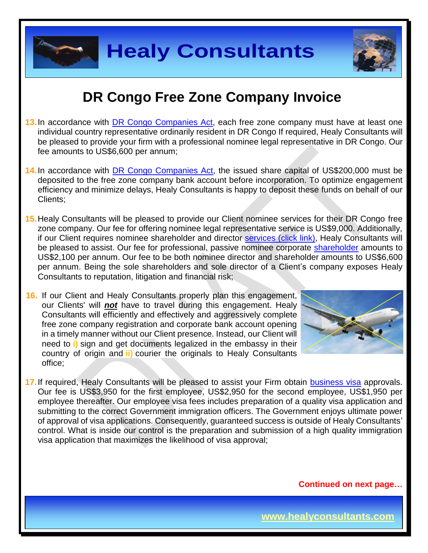

### **DR Congo Free Zone Company Invoice**

- **13.**In accordance with [DR Congo Companies Act,](http://www.ohada.com/actes-uniformes.html) each free zone company must have at least one individual country representative ordinarily resident in DR Congo If required, Healy Consultants will be pleased to provide your firm with a professional nominee legal representative in DR Congo. Our fee amounts to US\$6,600 per annum;
- **14.**In accordance with DR Congo [Companies Act,](http://www.ohada.com/actes-uniformes.html) the issued share capital of US\$200,000 must be deposited to the free zone company bank account before incorporation. To optimize engagement efficiency and minimize delays, Healy Consultants is happy to deposit these funds on behalf of our Clients;
- **15.**Healy Consultants will be pleased to provide our Client nominee services for their DR Congo free zone company. Our fee for offering nominee legal representative service is US\$9,000. Additionally, if our Client requires nominee shareholder and director services [\(click link\),](http://www.healyconsultants.com/corporate-outsourcing-services/nominee-shareholders-directors/) Healy Consultants will be pleased to assist. Our fee for professional, passive nominee corporate [shareholder](http://www.healyconsultants.com/national-shareholder-services/) amounts to US\$2,100 per annum. Our fee to be both nominee director and shareholder amounts to US\$6,600 per annum. Being the sole shareholders and sole director of a Client's company exposes Healy Consultants to reputation, litigation and financial risk;
- **16.** If our Client and Healy Consultants properly plan this engagement, our Clients' will *not* have to travel during this engagement. Healy Consultants will efficiently and effectively and aggressively complete free zone company registration and corporate bank account opening in a timely manner without our Client presence. Instead, our Client will need to **i)** sign and get documents legalized in the embassy in their country of origin and **ii)** courier the originals to Healy Consultants office;



**17.** If required, Healy Consultants will be pleased to assist your Firm obtain [business visa](http://www.healyconsultants.com/corporate-advisory-services/migration/) approvals. Our fee is US\$3,950 for the first employee, US\$2,950 for the second employee, US\$1,950 per employee thereafter. Our employee visa fees includes preparation of a quality visa application and submitting to the correct Government immigration officers. The Government enjoys ultimate power of approval of visa applications. Consequently, guaranteed success is outside of Healy Consultants' control. What is inside our control is the preparation and submission of a high quality immigration visa application that maximizes the likelihood of visa approval;

**Continued on next page…**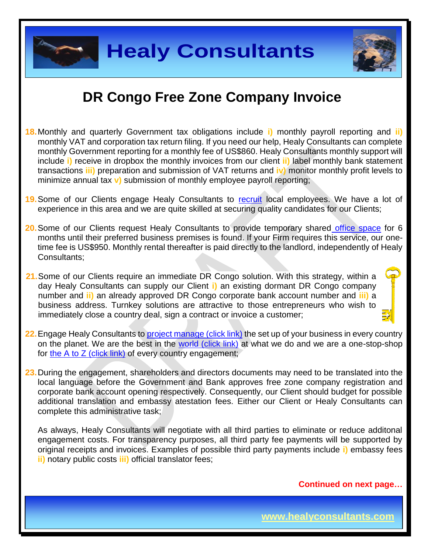

- **18.**Monthly and quarterly Government tax obligations include **i)** monthly payroll reporting and **ii)** monthly VAT and corporation tax return filing. If you need our help, Healy Consultants can complete monthly Government reporting for a monthly fee of US\$860. Healy Consultants monthly support will include **i)** receive in dropbox the monthly invoices from our client **ii)** label monthly bank statement transactions **iii)** preparation and submission of VAT returns and **iv)** monitor monthly profit levels to minimize annual tax **v)** submission of monthly employee payroll reporting;
- 19. Some of our Clients engage Healy Consultants to [recruit](http://www.healyconsultants.com/corporate-outsourcing-services/how-we-help-our-clients-recruit-quality-employees/) local employees. We have a lot of experience in this area and we are quite skilled at securing quality candidates for our Clients;
- **20.**Some of our Clients request Healy Consultants to provide temporary shared [office space](http://www.healyconsultants.com/virtual-office/) for 6 months until their preferred business premises is found. If your Firm requires this service, our onetime fee is US\$950. Monthly rental thereafter is paid directly to the landlord, independently of Healy Consultants;
- **21.**Some of our Clients require an immediate DR Congo solution. With this strategy, within a day Healy Consultants can supply our Client **i)** an existing dormant DR Congo company number and **ii)** an already approved DR Congo corporate bank account number and **iii)** a business address. Turnkey solutions are attractive to those entrepreneurs who wish to immediately close a country deal, sign a contract or invoice a customer;
- **22.** Engage Healy Consultants to [project manage \(click link\)](http://www.healyconsultants.com/project-manage-engagements/) the set up of your business in every country on the planet. We are the best in the [world \(click link\)](http://www.healyconsultants.com/best-in-the-world/) at what we do and we are a one-stop-shop for [the A to Z \(click link\)](http://www.healyconsultants.com/a-to-z-of-business-set-up/) of every country engagement;
- **23.**During the engagement, shareholders and directors documents may need to be translated into the local language before the Government and Bank approves free zone company registration and corporate bank account opening respectively. Consequently, our Client should budget for possible additional translation and embassy atestation fees. Either our Client or Healy Consultants can complete this administrative task;

As always, Healy Consultants will negotiate with all third parties to eliminate or reduce additonal engagement costs. For transparency purposes, all third party fee payments will be supported by original receipts and invoices. Examples of possible third party payments include **i)** embassy fees **ii)** notary public costs **iii)** official translator fees;

**Continued on next page…**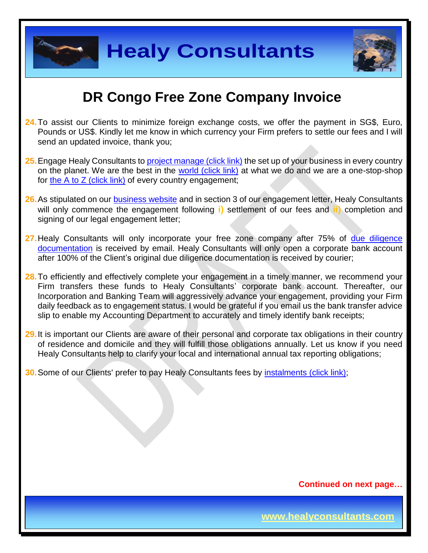



### **DR Congo Free Zone Company Invoice**

- **24.**To assist our Clients to minimize foreign exchange costs, we offer the payment in SG\$, Euro, Pounds or US\$. Kindly let me know in which currency your Firm prefers to settle our fees and I will send an updated invoice, thank you;
- 25. Engage Healy Consultants to *project manage (click link)* the set up of your business in every country on the planet. We are the best in the [world \(click link\)](http://www.healyconsultants.com/best-in-the-world/) at what we do and we are a one-stop-shop for the A to  $Z$  (click link) of every country engagement;
- 26. As stipulated on our **business website** and in section 3 of our engagement letter, Healy Consultants will only commence the engagement following **i)** settlement of our fees and **ii)** completion and signing of our legal engagement letter;
- **27.**Healy Consultants will only incorporate your free zone company after 75% of [due diligence](http://www.healyconsultants.com/due-diligence/)  [documentation](http://www.healyconsultants.com/due-diligence/) is received by email. Healy Consultants will only open a corporate bank account after 100% of the Client's original due diligence documentation is received by courier;
- **28.**To efficiently and effectively complete your engagement in a timely manner, we recommend your Firm transfers these funds to Healy Consultants' corporate bank account. Thereafter, our Incorporation and Banking Team will aggressively advance your engagement, providing your Firm daily feedback as to engagement status. I would be grateful if you email us the bank transfer advice slip to enable my Accounting Department to accurately and timely identify bank receipts;
- **29.**It is important our Clients are aware of their personal and corporate tax obligations in their country of residence and domicile and they will fulfill those obligations annually. Let us know if you need Healy Consultants help to clarify your local and international annual tax reporting obligations;
- **30.** Some of our Clients' prefer to pay Healy Consultants fees by [instalments \(click link\);](http://www.healyconsultants.com/payment-by-instalments/)

**Continued on next page…**